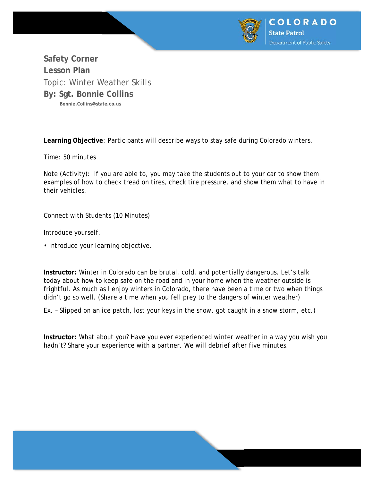

**Safety Corner Lesson Plan**  Topic: Winter Weather Skills **By: Sgt. Bonnie Collins Bonnie.Collins@state.co.us** 

**Learning Objective**: Participants will describe ways to stay safe during Colorado winters.

Time: 50 minutes

Note (Activity): If you are able to, you may take the students out to your car to show them examples of how to check tread on tires, check tire pressure, and show them what to have in their vehicles.

Connect with Students (10 Minutes)

Introduce yourself.

• Introduce your learning objective.

**Instructor:** Winter in Colorado can be brutal, cold, and potentially dangerous. Let's talk today about how to keep safe on the road and in your home when the weather outside is frightful. As much as I enjoy winters in Colorado, there have been a time or two when things didn't go so well. (Share a time when you fell prey to the dangers of winter weather)

Ex. – Slipped on an ice patch, lost your keys in the snow, got caught in a snow storm, etc.)

**Instructor:** What about you? Have you ever experienced winter weather in a way you wish you hadn't? Share your experience with a partner. We will debrief after five minutes.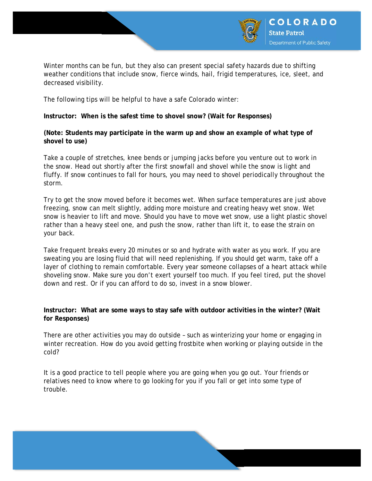

Winter months can be fun, but they also can present special safety hazards due to shifting weather conditions that include snow, fierce winds, hail, frigid temperatures, ice, sleet, and decreased visibility.

The following tips will be helpful to have a safe Colorado winter:

**Instructor: When is the safest time to shovel snow? (Wait for Responses)** 

**(Note: Students may participate in the warm up and show an example of what type of shovel to use)** 

Take a couple of stretches, knee bends or jumping jacks before you venture out to work in the snow. Head out shortly after the first snowfall and shovel while the snow is light and fluffy. If snow continues to fall for hours, you may need to shovel periodically throughout the storm.

Try to get the snow moved before it becomes wet. When surface temperatures are just above freezing, snow can melt slightly, adding more moisture and creating heavy wet snow. Wet snow is heavier to lift and move. Should you have to move wet snow, use a light plastic shovel rather than a heavy steel one, and push the snow, rather than lift it, to ease the strain on your back.

Take frequent breaks every 20 minutes or so and hydrate with water as you work. If you are sweating you are losing fluid that will need replenishing. If you should get warm, take off a layer of clothing to remain comfortable. Every year someone collapses of a heart attack while shoveling snow. Make sure you don't exert yourself too much. If you feel tired, put the shovel down and rest. Or if you can afford to do so, invest in a snow blower.

**Instructor: What are some ways to stay safe with outdoor activities in the winter? (Wait for Responses)** 

There are other activities you may do outside – such as winterizing your home or engaging in winter recreation. How do you avoid getting frostbite when working or playing outside in the cold?

It is a good practice to tell people where you are going when you go out. Your friends or relatives need to know where to go looking for you if you fall or get into some type of trouble.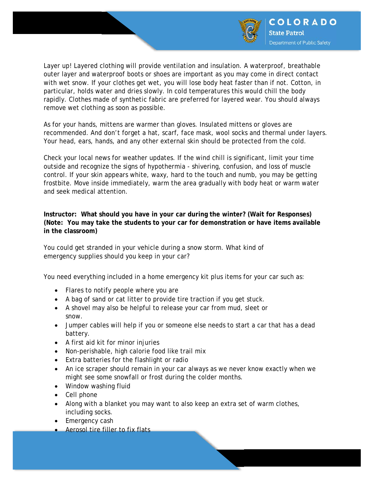

Layer up! Layered clothing will provide ventilation and insulation. A waterproof, breathable outer layer and waterproof boots or shoes are important as you may come in direct contact with wet snow. If your clothes get wet, you will lose body heat faster than if not. Cotton, in particular, holds water and dries slowly. In cold temperatures this would chill the body rapidly. Clothes made of synthetic fabric are preferred for layered wear. You should always remove wet clothing as soon as possible.

As for your hands, mittens are warmer than gloves. Insulated mittens or gloves are recommended. And don't forget a hat, scarf, face mask, wool socks and thermal under layers. Your head, ears, hands, and any other external skin should be protected from the cold.

Check your local news for weather updates. If the wind chill is significant, limit your time outside and recognize the signs of hypothermia - shivering, confusion, and loss of muscle control. If your skin appears white, waxy, hard to the touch and numb, you may be getting frostbite. Move inside immediately, warm the area gradually with body heat or warm water and seek medical attention.

**Instructor: What should you have in your car during the winter? (Wait for Responses) (Note: You may take the students to your car for demonstration or have items available in the classroom)** 

You could get stranded in your vehicle during a snow storm. What kind of emergency supplies should you keep in your car?

You need everything included in a home emergency kit plus items for your car such as:

- Flares to notify people where you are
- A bag of sand or cat litter to provide tire traction if you get stuck.
- A shovel may also be helpful to release your car from mud, sleet or snow.
- Jumper cables will help if you or someone else needs to start a car that has a dead battery.
- A first aid kit for minor injuries
- Non-perishable, high calorie food like trail mix
- Extra batteries for the flashlight or radio
- An ice scraper should remain in your car always as we never know exactly when we might see some snowfall or frost during the colder months.
- Window washing fluid
- Cell phone
- Along with a blanket you may want to also keep an extra set of warm clothes, including socks.
- Emergency cash
- Aerosol tire filler to fix flats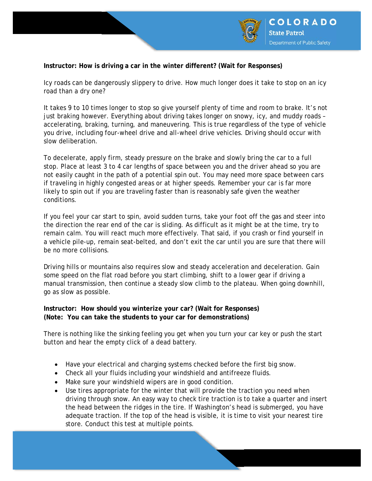

## **Instructor: How is driving a car in the winter different? (Wait for Responses)**

Icy roads can be dangerously slippery to drive. How much longer does it take to stop on an icy road than a dry one?

It takes 9 to 10 times longer to stop so give yourself plenty of time and room to brake. It's not just braking however. Everything about driving takes longer on snowy, icy, and muddy roads accelerating, braking, turning, and maneuvering. This is true regardless of the type of vehicle you drive, including four-wheel drive and all-wheel drive vehicles. Driving should occur with slow deliberation.

To decelerate, apply firm, steady pressure on the brake and slowly bring the car to a full stop. Place at least 3 to 4 car lengths of space between you and the driver ahead so you are not easily caught in the path of a potential spin out. You may need more space between cars if traveling in highly congested areas or at higher speeds. Remember your car is far more likely to spin out if you are traveling faster than is reasonably safe given the weather conditions.

If you feel your car start to spin, avoid sudden turns, take your foot off the gas and steer into the direction the rear end of the car is sliding. As difficult as it might be at the time, try to remain calm. You will react much more effectively. That said, if you crash or find yourself in a vehicle pile-up, remain seat-belted, and don't exit the car until you are sure that there will be no more collisions.

Driving hills or mountains also requires slow and steady acceleration and deceleration. Gain some speed on the flat road before you start climbing, shift to a lower gear if driving a manual transmission, then continue a steady slow climb to the plateau. When going downhill, go as slow as possible.

## **Instructor: How should you winterize your car? (Wait for Responses) (Note: You can take the students to your car for demonstrations)**

There is nothing like the sinking feeling you get when you turn your car key or push the start button and hear the empty click of a dead battery.

- Have your electrical and charging systems checked before the first big snow.
- Check all your fluids including your windshield and antifreeze fluids.
- Make sure your windshield wipers are in good condition.
- Use tires appropriate for the winter that will provide the traction you need when driving through snow. An easy way to check tire traction is to take a quarter and insert the head between the ridges in the tire. If Washington's head is submerged, you have adequate traction. If the top of the head is visible, it is time to visit your nearest tire store. Conduct this test at multiple points.